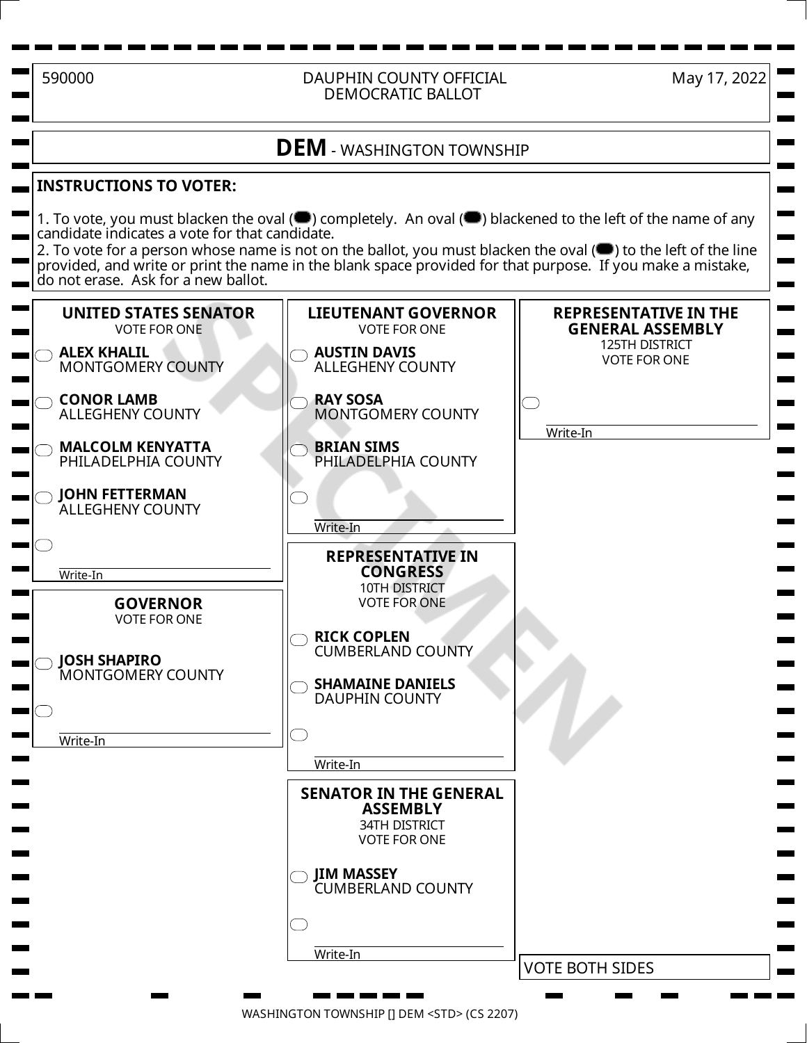## 590000 DAUPHIN COUNTY OFFICIAL DEMOCRATIC BALLOT

May 17, 2022

## **DEM** - WASHINGTON TOWNSHIP

## **INSTRUCTIONS TO VOTER:**

1. To vote, you must blacken the oval ( $\bullet$ ) completely. An oval ( $\bullet$ ) blackened to the left of the name of any candidate indicates a vote for that candidate.

2. To vote for a person whose name is not on the ballot, you must blacken the oval  $(\bullet)$  to the left of the line provided, and write or print the name in the blank space provided for that purpose. If you make a mistake, do not erase. Ask for a new ballot.